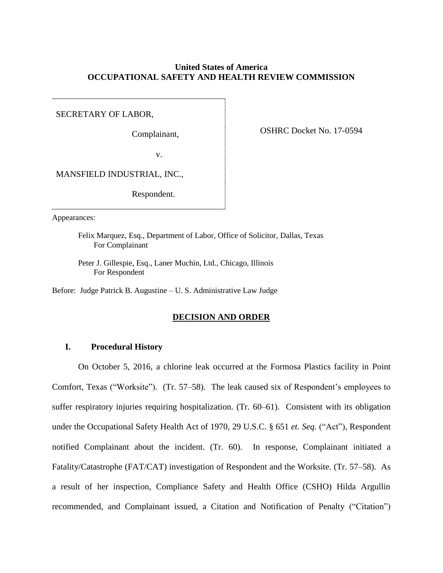# **United States of America OCCUPATIONAL SAFETY AND HEALTH REVIEW COMMISSION**

SECRETARY OF LABOR,

Complainant,

OSHRC Docket No. 17-0594

v.

MANSFIELD INDUSTRIAL, INC.,

Respondent.

Appearances:

Felix Marquez, Esq., Department of Labor, Office of Solicitor, Dallas, Texas For Complainant

Peter J. Gillespie, Esq., Laner Muchin, Ltd., Chicago, Illinois For Respondent

Before: Judge Patrick B. Augustine – U. S. Administrative Law Judge

#### **DECISION AND ORDER**

## **I. Procedural History**

On October 5, 2016, a chlorine leak occurred at the Formosa Plastics facility in Point Comfort, Texas ("Worksite"). (Tr. 57–58). The leak caused six of Respondent's employees to suffer respiratory injuries requiring hospitalization. (Tr. 60–61). Consistent with its obligation under the Occupational Safety Health Act of 1970, 29 U.S.C. § 651 *et. Seq.* ("Act"), Respondent notified Complainant about the incident. (Tr. 60). In response, Complainant initiated a Fatality/Catastrophe (FAT/CAT) investigation of Respondent and the Worksite. (Tr. 57–58). As a result of her inspection, Compliance Safety and Health Office (CSHO) Hilda Argullin recommended, and Complainant issued, a Citation and Notification of Penalty ("Citation")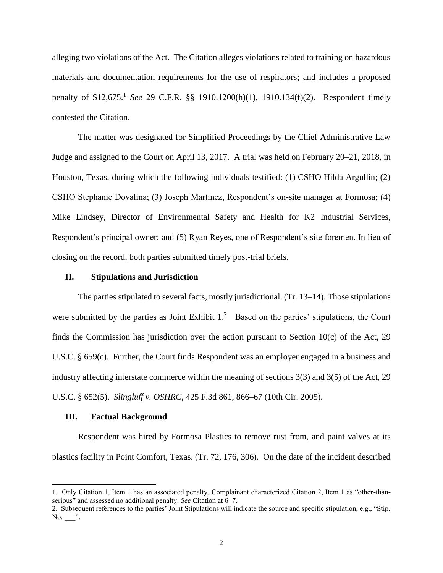alleging two violations of the Act. The Citation alleges violations related to training on hazardous materials and documentation requirements for the use of respirators; and includes a proposed penalty of \$12,675. 1 *See* 29 C.F.R. §§ 1910.1200(h)(1), 1910.134(f)(2). Respondent timely contested the Citation.

The matter was designated for Simplified Proceedings by the Chief Administrative Law Judge and assigned to the Court on April 13, 2017. A trial was held on February 20–21, 2018, in Houston, Texas, during which the following individuals testified: (1) CSHO Hilda Argullin; (2) CSHO Stephanie Dovalina; (3) Joseph Martinez, Respondent's on-site manager at Formosa; (4) Mike Lindsey, Director of Environmental Safety and Health for K2 Industrial Services, Respondent's principal owner; and (5) Ryan Reyes, one of Respondent's site foremen. In lieu of closing on the record, both parties submitted timely post-trial briefs.

## **II. Stipulations and Jurisdiction**

The parties stipulated to several facts, mostly jurisdictional. (Tr. 13–14). Those stipulations were submitted by the parties as Joint Exhibit  $1<sup>2</sup>$  Based on the parties' stipulations, the Court finds the Commission has jurisdiction over the action pursuant to Section 10(c) of the Act, 29 U.S.C. § 659(c). Further, the Court finds Respondent was an employer engaged in a business and industry affecting interstate commerce within the meaning of sections 3(3) and 3(5) of the Act, 29 U.S.C. § 652(5). *Slingluff v. OSHRC*, 425 F.3d 861, 866–67 (10th Cir. 2005).

#### **III. Factual Background**

 $\overline{\phantom{a}}$ 

Respondent was hired by Formosa Plastics to remove rust from, and paint valves at its plastics facility in Point Comfort, Texas. (Tr. 72, 176, 306). On the date of the incident described

<sup>1.</sup> Only Citation 1, Item 1 has an associated penalty. Complainant characterized Citation 2, Item 1 as "other-thanserious" and assessed no additional penalty. *See* Citation at 6–7.

<sup>2.</sup> Subsequent references to the parties' Joint Stipulations will indicate the source and specific stipulation, e.g., "Stip. No. ".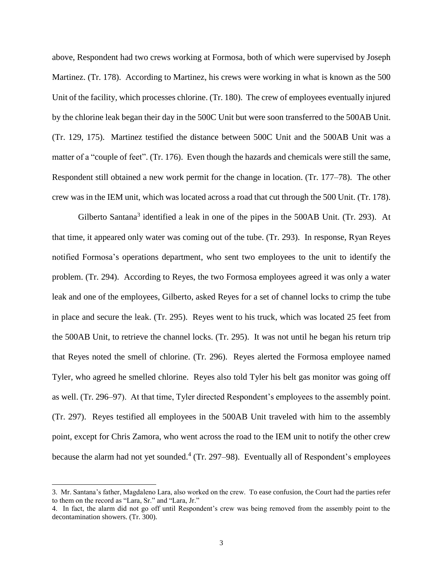above, Respondent had two crews working at Formosa, both of which were supervised by Joseph Martinez. (Tr. 178). According to Martinez, his crews were working in what is known as the 500 Unit of the facility, which processes chlorine. (Tr. 180). The crew of employees eventually injured by the chlorine leak began their day in the 500C Unit but were soon transferred to the 500AB Unit. (Tr. 129, 175). Martinez testified the distance between 500C Unit and the 500AB Unit was a matter of a "couple of feet". (Tr. 176). Even though the hazards and chemicals were still the same, Respondent still obtained a new work permit for the change in location. (Tr. 177–78). The other crew was in the IEM unit, which was located across a road that cut through the 500 Unit. (Tr. 178).

Gilberto Santana<sup>3</sup> identified a leak in one of the pipes in the  $500AB$  Unit. (Tr. 293). At that time, it appeared only water was coming out of the tube. (Tr. 293). In response, Ryan Reyes notified Formosa's operations department, who sent two employees to the unit to identify the problem. (Tr. 294). According to Reyes, the two Formosa employees agreed it was only a water leak and one of the employees, Gilberto, asked Reyes for a set of channel locks to crimp the tube in place and secure the leak. (Tr. 295). Reyes went to his truck, which was located 25 feet from the 500AB Unit, to retrieve the channel locks. (Tr. 295). It was not until he began his return trip that Reyes noted the smell of chlorine. (Tr. 296). Reyes alerted the Formosa employee named Tyler, who agreed he smelled chlorine. Reyes also told Tyler his belt gas monitor was going off as well. (Tr. 296–97). At that time, Tyler directed Respondent's employees to the assembly point. (Tr. 297). Reyes testified all employees in the 500AB Unit traveled with him to the assembly point, except for Chris Zamora, who went across the road to the IEM unit to notify the other crew because the alarm had not yet sounded.<sup>4</sup> (Tr. 297–98). Eventually all of Respondent's employees

 $\overline{\phantom{a}}$ 

<sup>3.</sup> Mr. Santana's father, Magdaleno Lara, also worked on the crew. To ease confusion, the Court had the parties refer to them on the record as "Lara, Sr." and "Lara, Jr."

<sup>4.</sup> In fact, the alarm did not go off until Respondent's crew was being removed from the assembly point to the decontamination showers. (Tr. 300).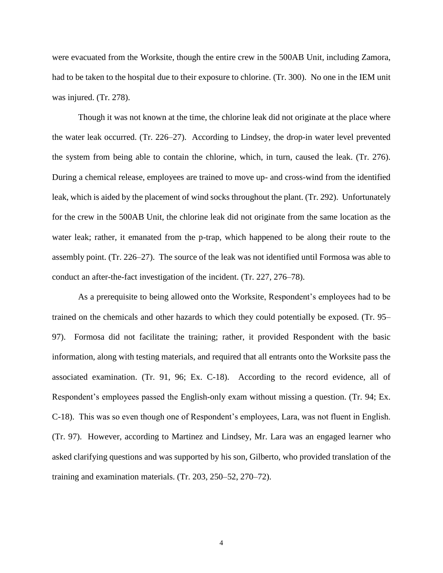were evacuated from the Worksite, though the entire crew in the 500AB Unit, including Zamora, had to be taken to the hospital due to their exposure to chlorine. (Tr. 300). No one in the IEM unit was injured. (Tr. 278).

Though it was not known at the time, the chlorine leak did not originate at the place where the water leak occurred. (Tr. 226–27). According to Lindsey, the drop-in water level prevented the system from being able to contain the chlorine, which, in turn, caused the leak. (Tr. 276). During a chemical release, employees are trained to move up- and cross-wind from the identified leak, which is aided by the placement of wind socks throughout the plant. (Tr. 292). Unfortunately for the crew in the 500AB Unit, the chlorine leak did not originate from the same location as the water leak; rather, it emanated from the p-trap, which happened to be along their route to the assembly point. (Tr. 226–27). The source of the leak was not identified until Formosa was able to conduct an after-the-fact investigation of the incident. (Tr. 227, 276–78).

As a prerequisite to being allowed onto the Worksite, Respondent's employees had to be trained on the chemicals and other hazards to which they could potentially be exposed. (Tr. 95– 97). Formosa did not facilitate the training; rather, it provided Respondent with the basic information, along with testing materials, and required that all entrants onto the Worksite pass the associated examination. (Tr. 91, 96; Ex. C-18). According to the record evidence, all of Respondent's employees passed the English-only exam without missing a question. (Tr. 94; Ex. C-18). This was so even though one of Respondent's employees, Lara, was not fluent in English. (Tr. 97). However, according to Martinez and Lindsey, Mr. Lara was an engaged learner who asked clarifying questions and was supported by his son, Gilberto, who provided translation of the training and examination materials. (Tr. 203, 250–52, 270–72).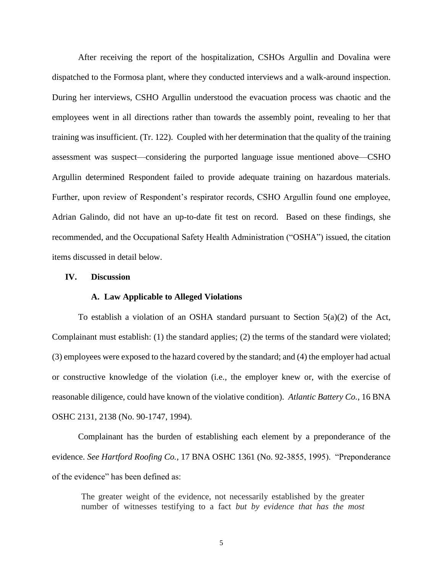After receiving the report of the hospitalization, CSHOs Argullin and Dovalina were dispatched to the Formosa plant, where they conducted interviews and a walk-around inspection. During her interviews, CSHO Argullin understood the evacuation process was chaotic and the employees went in all directions rather than towards the assembly point, revealing to her that training was insufficient. (Tr. 122). Coupled with her determination that the quality of the training assessment was suspect—considering the purported language issue mentioned above—CSHO Argullin determined Respondent failed to provide adequate training on hazardous materials. Further, upon review of Respondent's respirator records, CSHO Argullin found one employee, Adrian Galindo, did not have an up-to-date fit test on record. Based on these findings, she recommended, and the Occupational Safety Health Administration ("OSHA") issued, the citation items discussed in detail below.

## **IV. Discussion**

## **A. Law Applicable to Alleged Violations**

To establish a violation of an OSHA standard pursuant to Section  $5(a)(2)$  of the Act, Complainant must establish: (1) the standard applies; (2) the terms of the standard were violated; (3) employees were exposed to the hazard covered by the standard; and (4) the employer had actual or constructive knowledge of the violation (i.e., the employer knew or, with the exercise of reasonable diligence, could have known of the violative condition). *Atlantic Battery Co.*, 16 BNA OSHC 2131, 2138 (No. 90-1747, 1994).

Complainant has the burden of establishing each element by a preponderance of the evidence. *See Hartford Roofing Co.*, 17 BNA OSHC 1361 (No. 92-3855, 1995). "Preponderance of the evidence" has been defined as:

The greater weight of the evidence, not necessarily established by the greater number of witnesses testifying to a fact *but by evidence that has the most*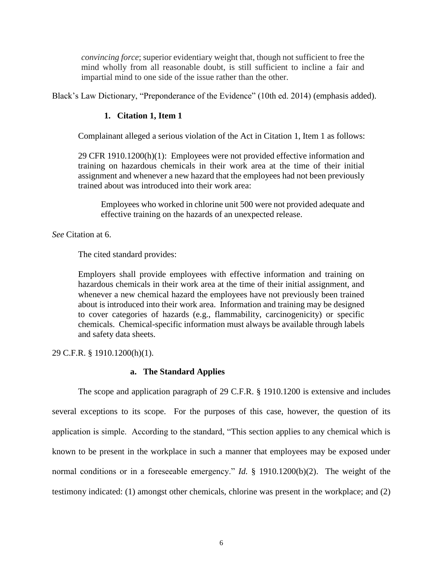*convincing force*; superior evidentiary weight that, though not sufficient to free the mind wholly from all reasonable doubt, is still sufficient to incline a fair and impartial mind to one side of the issue rather than the other.

Black's Law Dictionary, "Preponderance of the Evidence" (10th ed. 2014) (emphasis added).

## **1. Citation 1, Item 1**

Complainant alleged a serious violation of the Act in Citation 1, Item 1 as follows:

29 CFR 1910.1200(h)(1): Employees were not provided effective information and training on hazardous chemicals in their work area at the time of their initial assignment and whenever a new hazard that the employees had not been previously trained about was introduced into their work area:

Employees who worked in chlorine unit 500 were not provided adequate and effective training on the hazards of an unexpected release.

*See* Citation at 6.

The cited standard provides:

Employers shall provide employees with effective information and training on hazardous chemicals in their work area at the time of their initial assignment, and whenever a new chemical hazard the employees have not previously been trained about is introduced into their work area. Information and training may be designed to cover categories of hazards (e.g., flammability, carcinogenicity) or specific chemicals. Chemical-specific information must always be available through labels and safety data sheets.

29 C.F.R. § 1910.1200(h)(1).

## **a. The Standard Applies**

The scope and application paragraph of 29 C.F.R. § 1910.1200 is extensive and includes several exceptions to its scope. For the purposes of this case, however, the question of its application is simple. According to the standard, "This section applies to any chemical which is known to be present in the workplace in such a manner that employees may be exposed under normal conditions or in a foreseeable emergency." *Id.* § 1910.1200(b)(2). The weight of the testimony indicated: (1) amongst other chemicals, chlorine was present in the workplace; and (2)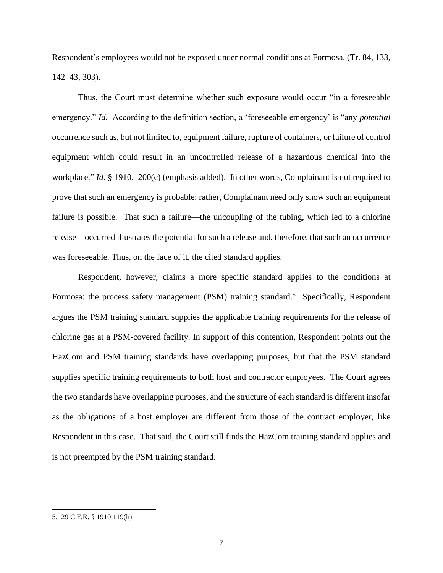Respondent's employees would not be exposed under normal conditions at Formosa. (Tr. 84, 133, 142–43, 303).

Thus, the Court must determine whether such exposure would occur "in a foreseeable emergency." *Id.* According to the definition section, a 'foreseeable emergency' is "any *potential*  occurrence such as, but not limited to, equipment failure, rupture of containers, or failure of control equipment which could result in an uncontrolled release of a hazardous chemical into the workplace." *Id.* § 1910.1200(c) (emphasis added). In other words, Complainant is not required to prove that such an emergency is probable; rather, Complainant need only show such an equipment failure is possible. That such a failure—the uncoupling of the tubing, which led to a chlorine release—occurred illustrates the potential for such a release and, therefore, that such an occurrence was foreseeable. Thus, on the face of it, the cited standard applies.

Respondent, however, claims a more specific standard applies to the conditions at Formosa: the process safety management (PSM) training standard.<sup>5</sup> Specifically, Respondent argues the PSM training standard supplies the applicable training requirements for the release of chlorine gas at a PSM-covered facility. In support of this contention, Respondent points out the HazCom and PSM training standards have overlapping purposes, but that the PSM standard supplies specific training requirements to both host and contractor employees. The Court agrees the two standards have overlapping purposes, and the structure of each standard is different insofar as the obligations of a host employer are different from those of the contract employer, like Respondent in this case. That said, the Court still finds the HazCom training standard applies and is not preempted by the PSM training standard.

 $\overline{\phantom{a}}$ 

<sup>5. 29</sup> C.F.R. § 1910.119(h).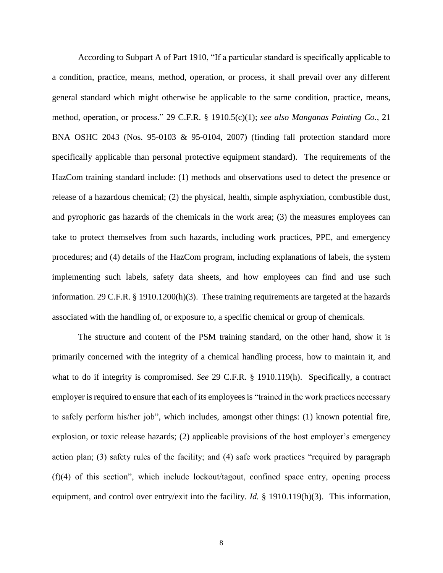According to Subpart A of Part 1910, "If a particular standard is specifically applicable to a condition, practice, means, method, operation, or process, it shall prevail over any different general standard which might otherwise be applicable to the same condition, practice, means, method, operation, or process." 29 C.F.R. § 1910.5(c)(1); *see also Manganas Painting Co.*, 21 BNA OSHC 2043 (Nos. 95-0103 & 95-0104, 2007) (finding fall protection standard more specifically applicable than personal protective equipment standard). The requirements of the HazCom training standard include: (1) methods and observations used to detect the presence or release of a hazardous chemical; (2) the physical, health, simple asphyxiation, combustible dust, and pyrophoric gas hazards of the chemicals in the work area; (3) the measures employees can take to protect themselves from such hazards, including work practices, PPE, and emergency procedures; and (4) details of the HazCom program, including explanations of labels, the system implementing such labels, safety data sheets, and how employees can find and use such information. 29 C.F.R. § 1910.1200(h)(3). These training requirements are targeted at the hazards associated with the handling of, or exposure to, a specific chemical or group of chemicals.

The structure and content of the PSM training standard, on the other hand, show it is primarily concerned with the integrity of a chemical handling process, how to maintain it, and what to do if integrity is compromised. *See* 29 C.F.R. § 1910.119(h). Specifically, a contract employer is required to ensure that each of its employees is "trained in the work practices necessary to safely perform his/her job", which includes, amongst other things: (1) known potential fire, explosion, or toxic release hazards; (2) applicable provisions of the host employer's emergency action plan; (3) safety rules of the facility; and (4) safe work practices "required by paragraph (f)(4) of this section", which include lockout/tagout, confined space entry, opening process equipment, and control over entry/exit into the facility. *Id.* § 1910.119(h)(3). This information,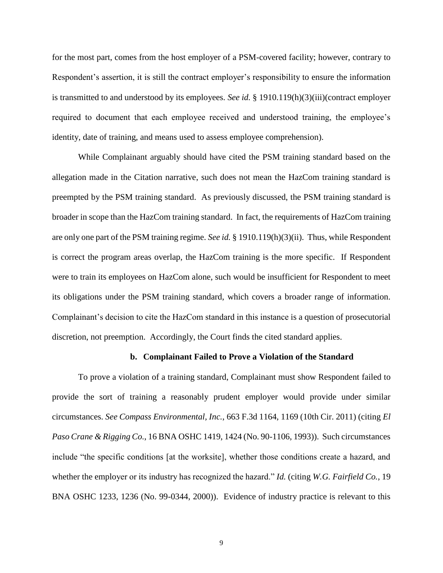for the most part, comes from the host employer of a PSM-covered facility; however, contrary to Respondent's assertion, it is still the contract employer's responsibility to ensure the information is transmitted to and understood by its employees. *See id.* § 1910.119(h)(3)(iii)(contract employer required to document that each employee received and understood training, the employee's identity, date of training, and means used to assess employee comprehension).

While Complainant arguably should have cited the PSM training standard based on the allegation made in the Citation narrative, such does not mean the HazCom training standard is preempted by the PSM training standard. As previously discussed, the PSM training standard is broader in scope than the HazCom training standard. In fact, the requirements of HazCom training are only one part of the PSM training regime. *See id.* § 1910.119(h)(3)(ii). Thus, while Respondent is correct the program areas overlap, the HazCom training is the more specific. If Respondent were to train its employees on HazCom alone, such would be insufficient for Respondent to meet its obligations under the PSM training standard, which covers a broader range of information. Complainant's decision to cite the HazCom standard in this instance is a question of prosecutorial discretion, not preemption. Accordingly, the Court finds the cited standard applies.

#### **b. Complainant Failed to Prove a Violation of the Standard**

To prove a violation of a training standard, Complainant must show Respondent failed to provide the sort of training a reasonably prudent employer would provide under similar circumstances. *See Compass Environmental, Inc.*, 663 F.3d 1164, 1169 (10th Cir. 2011) (citing *El Paso Crane & Rigging Co.*, 16 BNA OSHC 1419, 1424 (No. 90-1106, 1993)). Such circumstances include "the specific conditions [at the worksite], whether those conditions create a hazard, and whether the employer or its industry has recognized the hazard." *Id.* (citing *W.G. Fairfield Co.*, 19 BNA OSHC 1233, 1236 (No. 99-0344, 2000)). Evidence of industry practice is relevant to this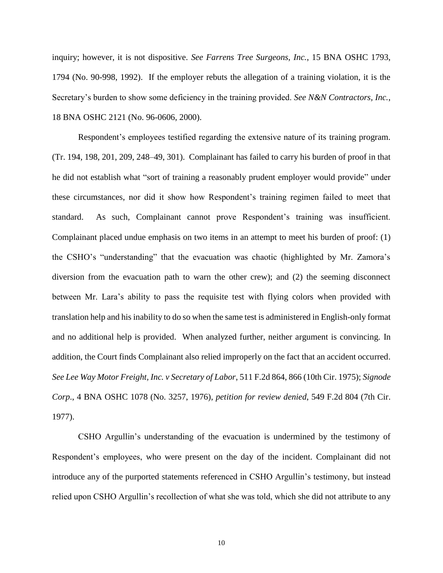inquiry; however, it is not dispositive. *See Farrens Tree Surgeons, Inc.*, 15 BNA OSHC 1793, 1794 (No. 90-998, 1992). If the employer rebuts the allegation of a training violation, it is the Secretary's burden to show some deficiency in the training provided. *See N&N Contractors, Inc.*, 18 BNA OSHC 2121 (No. 96-0606, 2000).

Respondent's employees testified regarding the extensive nature of its training program. (Tr. 194, 198, 201, 209, 248–49, 301). Complainant has failed to carry his burden of proof in that he did not establish what "sort of training a reasonably prudent employer would provide" under these circumstances, nor did it show how Respondent's training regimen failed to meet that standard. As such, Complainant cannot prove Respondent's training was insufficient. Complainant placed undue emphasis on two items in an attempt to meet his burden of proof: (1) the CSHO's "understanding" that the evacuation was chaotic (highlighted by Mr. Zamora's diversion from the evacuation path to warn the other crew); and (2) the seeming disconnect between Mr. Lara's ability to pass the requisite test with flying colors when provided with translation help and his inability to do so when the same test is administered in English-only format and no additional help is provided. When analyzed further, neither argument is convincing. In addition, the Court finds Complainant also relied improperly on the fact that an accident occurred. *See Lee Way Motor Freight, Inc. v Secretary of Labor*, 511 F.2d 864, 866 (10th Cir. 1975); *Signode Corp*., 4 BNA OSHC 1078 (No. 3257, 1976), *petition for review denied*, 549 F.2d 804 (7th Cir. 1977).

CSHO Argullin's understanding of the evacuation is undermined by the testimony of Respondent's employees, who were present on the day of the incident. Complainant did not introduce any of the purported statements referenced in CSHO Argullin's testimony, but instead relied upon CSHO Argullin's recollection of what she was told, which she did not attribute to any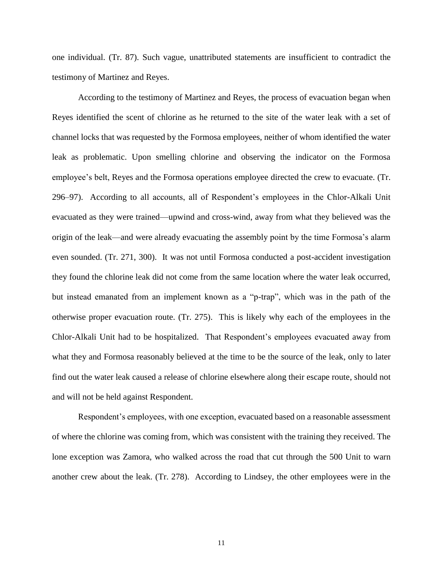one individual. (Tr. 87). Such vague, unattributed statements are insufficient to contradict the testimony of Martinez and Reyes.

According to the testimony of Martinez and Reyes, the process of evacuation began when Reyes identified the scent of chlorine as he returned to the site of the water leak with a set of channel locks that was requested by the Formosa employees, neither of whom identified the water leak as problematic. Upon smelling chlorine and observing the indicator on the Formosa employee's belt, Reyes and the Formosa operations employee directed the crew to evacuate. (Tr. 296–97). According to all accounts, all of Respondent's employees in the Chlor-Alkali Unit evacuated as they were trained—upwind and cross-wind, away from what they believed was the origin of the leak—and were already evacuating the assembly point by the time Formosa's alarm even sounded. (Tr. 271, 300). It was not until Formosa conducted a post-accident investigation they found the chlorine leak did not come from the same location where the water leak occurred, but instead emanated from an implement known as a "p-trap", which was in the path of the otherwise proper evacuation route. (Tr. 275). This is likely why each of the employees in the Chlor-Alkali Unit had to be hospitalized. That Respondent's employees evacuated away from what they and Formosa reasonably believed at the time to be the source of the leak, only to later find out the water leak caused a release of chlorine elsewhere along their escape route, should not and will not be held against Respondent.

Respondent's employees, with one exception, evacuated based on a reasonable assessment of where the chlorine was coming from, which was consistent with the training they received. The lone exception was Zamora, who walked across the road that cut through the 500 Unit to warn another crew about the leak. (Tr. 278). According to Lindsey, the other employees were in the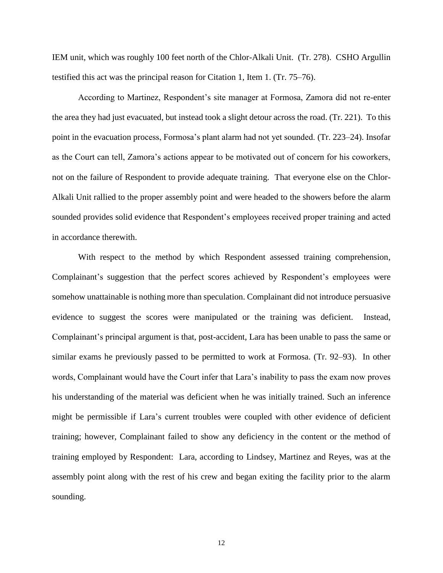IEM unit, which was roughly 100 feet north of the Chlor-Alkali Unit. (Tr. 278). CSHO Argullin testified this act was the principal reason for Citation 1, Item 1. (Tr. 75–76).

According to Martinez, Respondent's site manager at Formosa, Zamora did not re-enter the area they had just evacuated, but instead took a slight detour across the road. (Tr. 221). To this point in the evacuation process, Formosa's plant alarm had not yet sounded. (Tr. 223–24). Insofar as the Court can tell, Zamora's actions appear to be motivated out of concern for his coworkers, not on the failure of Respondent to provide adequate training. That everyone else on the Chlor-Alkali Unit rallied to the proper assembly point and were headed to the showers before the alarm sounded provides solid evidence that Respondent's employees received proper training and acted in accordance therewith.

With respect to the method by which Respondent assessed training comprehension, Complainant's suggestion that the perfect scores achieved by Respondent's employees were somehow unattainable is nothing more than speculation. Complainant did not introduce persuasive evidence to suggest the scores were manipulated or the training was deficient. Instead, Complainant's principal argument is that, post-accident, Lara has been unable to pass the same or similar exams he previously passed to be permitted to work at Formosa. (Tr. 92–93). In other words, Complainant would have the Court infer that Lara's inability to pass the exam now proves his understanding of the material was deficient when he was initially trained. Such an inference might be permissible if Lara's current troubles were coupled with other evidence of deficient training; however, Complainant failed to show any deficiency in the content or the method of training employed by Respondent: Lara, according to Lindsey, Martinez and Reyes, was at the assembly point along with the rest of his crew and began exiting the facility prior to the alarm sounding.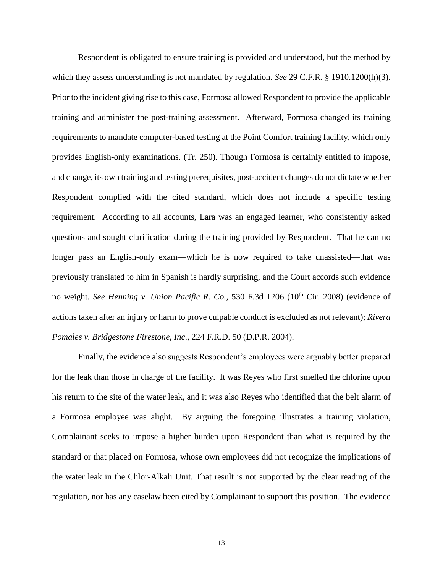Respondent is obligated to ensure training is provided and understood, but the method by which they assess understanding is not mandated by regulation. *See* 29 C.F.R. § 1910.1200(h)(3). Prior to the incident giving rise to this case, Formosa allowed Respondent to provide the applicable training and administer the post-training assessment. Afterward, Formosa changed its training requirements to mandate computer-based testing at the Point Comfort training facility, which only provides English-only examinations. (Tr. 250). Though Formosa is certainly entitled to impose, and change, its own training and testing prerequisites, post-accident changes do not dictate whether Respondent complied with the cited standard, which does not include a specific testing requirement. According to all accounts, Lara was an engaged learner, who consistently asked questions and sought clarification during the training provided by Respondent. That he can no longer pass an English-only exam—which he is now required to take unassisted—that was previously translated to him in Spanish is hardly surprising, and the Court accords such evidence no weight. *See Henning v. Union Pacific R. Co.*, 530 F.3d 1206 (10<sup>th</sup> Cir. 2008) (evidence of actions taken after an injury or harm to prove culpable conduct is excluded as not relevant); *Rivera Pomales v. Bridgestone Firestone, Inc*., 224 F.R.D. 50 (D.P.R. 2004).

Finally, the evidence also suggests Respondent's employees were arguably better prepared for the leak than those in charge of the facility. It was Reyes who first smelled the chlorine upon his return to the site of the water leak, and it was also Reyes who identified that the belt alarm of a Formosa employee was alight. By arguing the foregoing illustrates a training violation, Complainant seeks to impose a higher burden upon Respondent than what is required by the standard or that placed on Formosa, whose own employees did not recognize the implications of the water leak in the Chlor-Alkali Unit. That result is not supported by the clear reading of the regulation, nor has any caselaw been cited by Complainant to support this position. The evidence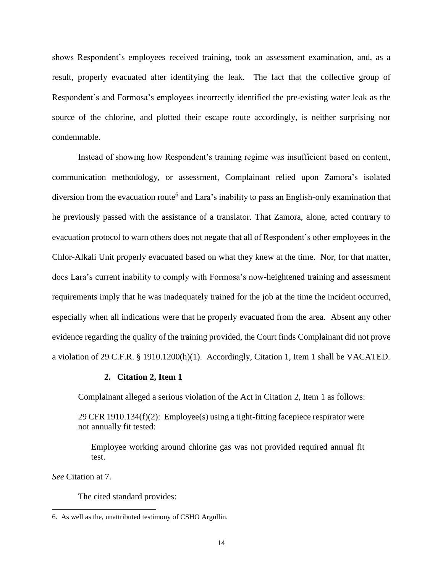shows Respondent's employees received training, took an assessment examination, and, as a result, properly evacuated after identifying the leak. The fact that the collective group of Respondent's and Formosa's employees incorrectly identified the pre-existing water leak as the source of the chlorine, and plotted their escape route accordingly, is neither surprising nor condemnable.

Instead of showing how Respondent's training regime was insufficient based on content, communication methodology, or assessment, Complainant relied upon Zamora's isolated diversion from the evacuation route<sup>6</sup> and Lara's inability to pass an English-only examination that he previously passed with the assistance of a translator. That Zamora, alone, acted contrary to evacuation protocol to warn others does not negate that all of Respondent's other employees in the Chlor-Alkali Unit properly evacuated based on what they knew at the time. Nor, for that matter, does Lara's current inability to comply with Formosa's now-heightened training and assessment requirements imply that he was inadequately trained for the job at the time the incident occurred, especially when all indications were that he properly evacuated from the area. Absent any other evidence regarding the quality of the training provided, the Court finds Complainant did not prove a violation of 29 C.F.R. § 1910.1200(h)(1). Accordingly, Citation 1, Item 1 shall be VACATED.

## **2. Citation 2, Item 1**

Complainant alleged a serious violation of the Act in Citation 2, Item 1 as follows:

29 CFR 1910.134 $(f)(2)$ : Employee(s) using a tight-fitting facepiece respirator were not annually fit tested:

Employee working around chlorine gas was not provided required annual fit test.

*See* Citation at 7.

 $\overline{\phantom{a}}$ 

The cited standard provides:

<sup>6.</sup> As well as the, unattributed testimony of CSHO Argullin.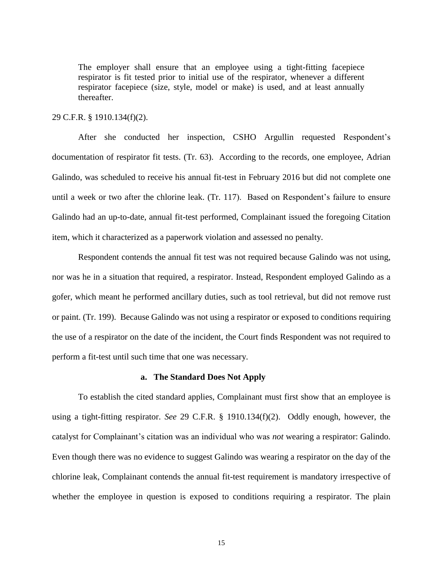The employer shall ensure that an employee using a tight-fitting facepiece respirator is fit tested prior to initial use of the respirator, whenever a different respirator facepiece (size, style, model or make) is used, and at least annually thereafter.

## 29 C.F.R. § 1910.134(f)(2).

After she conducted her inspection, CSHO Argullin requested Respondent's documentation of respirator fit tests. (Tr. 63). According to the records, one employee, Adrian Galindo, was scheduled to receive his annual fit-test in February 2016 but did not complete one until a week or two after the chlorine leak. (Tr. 117). Based on Respondent's failure to ensure Galindo had an up-to-date, annual fit-test performed, Complainant issued the foregoing Citation item, which it characterized as a paperwork violation and assessed no penalty.

Respondent contends the annual fit test was not required because Galindo was not using, nor was he in a situation that required, a respirator. Instead, Respondent employed Galindo as a gofer, which meant he performed ancillary duties, such as tool retrieval, but did not remove rust or paint. (Tr. 199). Because Galindo was not using a respirator or exposed to conditions requiring the use of a respirator on the date of the incident, the Court finds Respondent was not required to perform a fit-test until such time that one was necessary.

## **a. The Standard Does Not Apply**

To establish the cited standard applies, Complainant must first show that an employee is using a tight-fitting respirator. *See* 29 C.F.R. § 1910.134(f)(2). Oddly enough, however, the catalyst for Complainant's citation was an individual who was *not* wearing a respirator: Galindo. Even though there was no evidence to suggest Galindo was wearing a respirator on the day of the chlorine leak, Complainant contends the annual fit-test requirement is mandatory irrespective of whether the employee in question is exposed to conditions requiring a respirator. The plain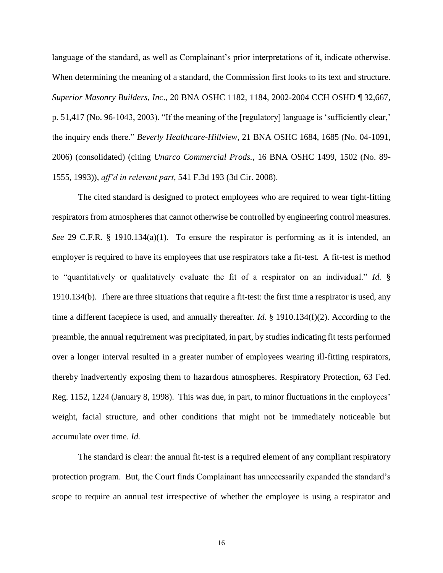language of the standard, as well as Complainant's prior interpretations of it, indicate otherwise. When determining the meaning of a standard, the Commission first looks to its text and structure. *Superior Masonry Builders, Inc*., 20 BNA OSHC 1182, 1184, 2002-2004 CCH OSHD ¶ 32,667, p. 51,417 (No. 96-1043, 2003). "If the meaning of the [regulatory] language is 'sufficiently clear,' the inquiry ends there." *Beverly Healthcare-Hillview,* 21 BNA OSHC 1684, 1685 (No. 04-1091, 2006) (consolidated) (citing *Unarco Commercial Prods.*, 16 BNA OSHC 1499, 1502 (No. 89- 1555, 1993)), *aff'd in relevant part*, 541 F.3d 193 (3d Cir. 2008).

The cited standard is designed to protect employees who are required to wear tight-fitting respirators from atmospheres that cannot otherwise be controlled by engineering control measures. *See* 29 C.F.R. § 1910.134(a)(1). To ensure the respirator is performing as it is intended, an employer is required to have its employees that use respirators take a fit-test. A fit-test is method to "quantitatively or qualitatively evaluate the fit of a respirator on an individual." *Id.* § 1910.134(b). There are three situations that require a fit-test: the first time a respirator is used, any time a different facepiece is used, and annually thereafter. *Id.* § 1910.134(f)(2). According to the preamble, the annual requirement was precipitated, in part, by studies indicating fit tests performed over a longer interval resulted in a greater number of employees wearing ill-fitting respirators, thereby inadvertently exposing them to hazardous atmospheres. Respiratory Protection, 63 Fed. Reg. 1152, 1224 (January 8, 1998). This was due, in part, to minor fluctuations in the employees' weight, facial structure, and other conditions that might not be immediately noticeable but accumulate over time. *Id.*

The standard is clear: the annual fit-test is a required element of any compliant respiratory protection program. But, the Court finds Complainant has unnecessarily expanded the standard's scope to require an annual test irrespective of whether the employee is using a respirator and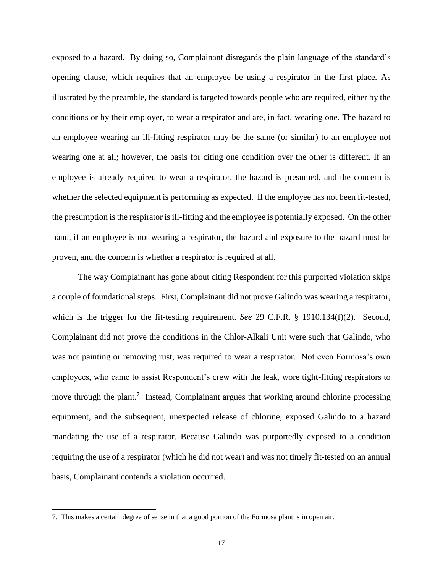exposed to a hazard. By doing so, Complainant disregards the plain language of the standard's opening clause, which requires that an employee be using a respirator in the first place. As illustrated by the preamble, the standard is targeted towards people who are required, either by the conditions or by their employer, to wear a respirator and are, in fact, wearing one. The hazard to an employee wearing an ill-fitting respirator may be the same (or similar) to an employee not wearing one at all; however, the basis for citing one condition over the other is different. If an employee is already required to wear a respirator, the hazard is presumed, and the concern is whether the selected equipment is performing as expected. If the employee has not been fit-tested, the presumption is the respirator is ill-fitting and the employee is potentially exposed. On the other hand, if an employee is not wearing a respirator, the hazard and exposure to the hazard must be proven, and the concern is whether a respirator is required at all.

The way Complainant has gone about citing Respondent for this purported violation skips a couple of foundational steps. First, Complainant did not prove Galindo was wearing a respirator, which is the trigger for the fit-testing requirement. *See* 29 C.F.R. § 1910.134(f)(2). Second, Complainant did not prove the conditions in the Chlor-Alkali Unit were such that Galindo, who was not painting or removing rust, was required to wear a respirator. Not even Formosa's own employees, who came to assist Respondent's crew with the leak, wore tight-fitting respirators to move through the plant.<sup>7</sup> Instead, Complainant argues that working around chlorine processing equipment, and the subsequent, unexpected release of chlorine, exposed Galindo to a hazard mandating the use of a respirator. Because Galindo was purportedly exposed to a condition requiring the use of a respirator (which he did not wear) and was not timely fit-tested on an annual basis, Complainant contends a violation occurred.

 $\overline{\phantom{a}}$ 

<sup>7.</sup> This makes a certain degree of sense in that a good portion of the Formosa plant is in open air.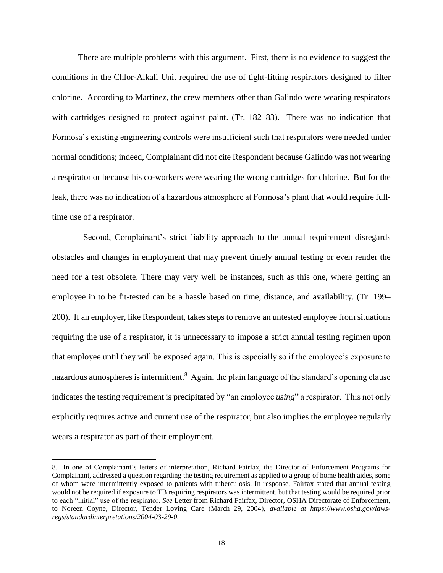There are multiple problems with this argument. First, there is no evidence to suggest the conditions in the Chlor-Alkali Unit required the use of tight-fitting respirators designed to filter chlorine. According to Martinez, the crew members other than Galindo were wearing respirators with cartridges designed to protect against paint. (Tr. 182–83). There was no indication that Formosa's existing engineering controls were insufficient such that respirators were needed under normal conditions; indeed, Complainant did not cite Respondent because Galindo was not wearing a respirator or because his co-workers were wearing the wrong cartridges for chlorine. But for the leak, there was no indication of a hazardous atmosphere at Formosa's plant that would require fulltime use of a respirator.

Second, Complainant's strict liability approach to the annual requirement disregards obstacles and changes in employment that may prevent timely annual testing or even render the need for a test obsolete. There may very well be instances, such as this one, where getting an employee in to be fit-tested can be a hassle based on time, distance, and availability. (Tr. 199– 200). If an employer, like Respondent, takes steps to remove an untested employee from situations requiring the use of a respirator, it is unnecessary to impose a strict annual testing regimen upon that employee until they will be exposed again. This is especially so if the employee's exposure to hazardous atmospheres is intermittent.<sup>8</sup> Again, the plain language of the standard's opening clause indicates the testing requirement is precipitated by "an employee *using*" a respirator. This not only explicitly requires active and current use of the respirator, but also implies the employee regularly wears a respirator as part of their employment.

l

<sup>8.</sup> In one of Complainant's letters of interpretation, Richard Fairfax, the Director of Enforcement Programs for Complainant, addressed a question regarding the testing requirement as applied to a group of home health aides, some of whom were intermittently exposed to patients with tuberculosis. In response, Fairfax stated that annual testing would not be required if exposure to TB requiring respirators was intermittent, but that testing would be required prior to each "initial" use of the respirator. *See* Letter from Richard Fairfax, Director, OSHA Directorate of Enforcement, to Noreen Coyne, Director, Tender Loving Care (March 29, 2004), *available at https://www.osha.gov/lawsregs/standardinterpretations/2004-03-29-0*.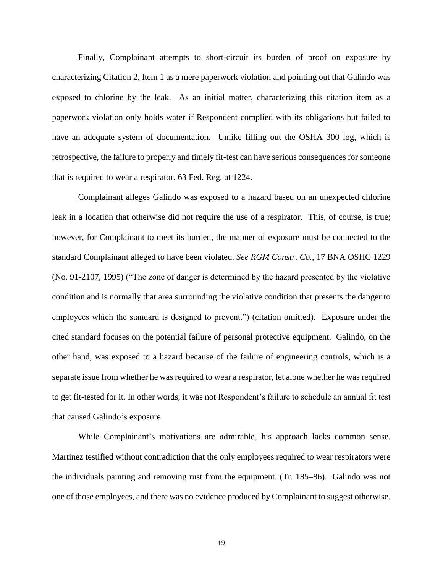Finally, Complainant attempts to short-circuit its burden of proof on exposure by characterizing Citation 2, Item 1 as a mere paperwork violation and pointing out that Galindo was exposed to chlorine by the leak. As an initial matter, characterizing this citation item as a paperwork violation only holds water if Respondent complied with its obligations but failed to have an adequate system of documentation. Unlike filling out the OSHA 300 log, which is retrospective, the failure to properly and timely fit-test can have serious consequences for someone that is required to wear a respirator. 63 Fed. Reg. at 1224.

Complainant alleges Galindo was exposed to a hazard based on an unexpected chlorine leak in a location that otherwise did not require the use of a respirator. This, of course, is true; however, for Complainant to meet its burden, the manner of exposure must be connected to the standard Complainant alleged to have been violated. *See RGM Constr. Co.*, 17 BNA OSHC 1229 (No. 91-2107, 1995) ("The zone of danger is determined by the hazard presented by the violative condition and is normally that area surrounding the violative condition that presents the danger to employees which the standard is designed to prevent.") (citation omitted). Exposure under the cited standard focuses on the potential failure of personal protective equipment. Galindo, on the other hand, was exposed to a hazard because of the failure of engineering controls, which is a separate issue from whether he was required to wear a respirator, let alone whether he was required to get fit-tested for it. In other words, it was not Respondent's failure to schedule an annual fit test that caused Galindo's exposure

While Complainant's motivations are admirable, his approach lacks common sense. Martinez testified without contradiction that the only employees required to wear respirators were the individuals painting and removing rust from the equipment. (Tr. 185–86). Galindo was not one of those employees, and there was no evidence produced by Complainant to suggest otherwise.